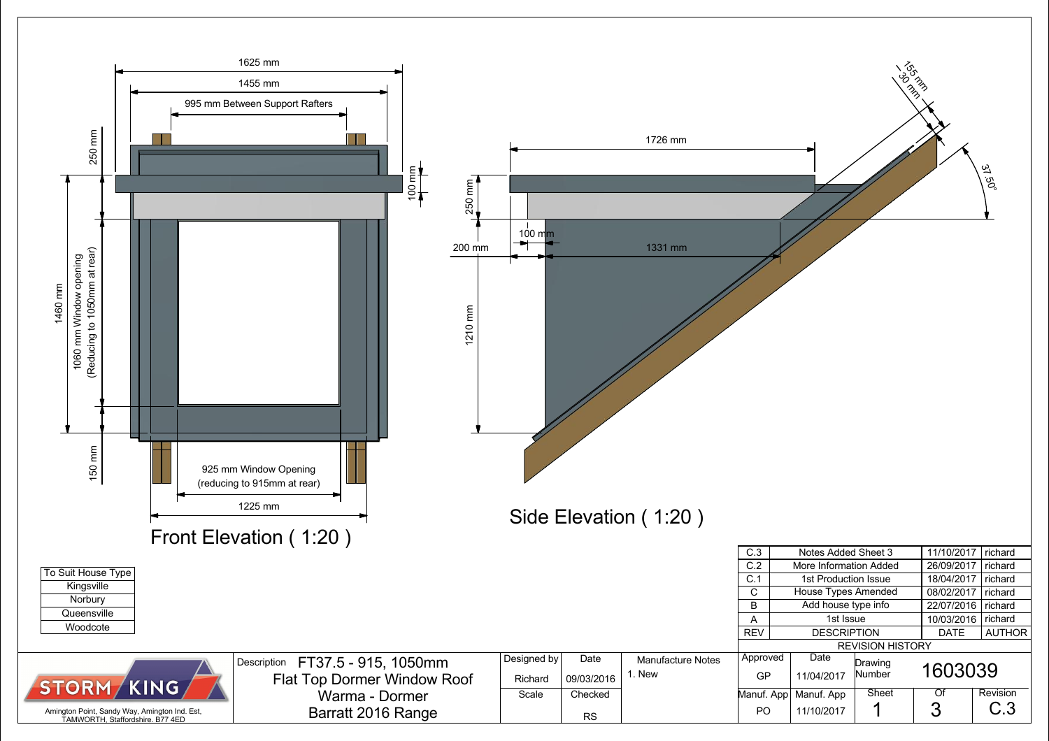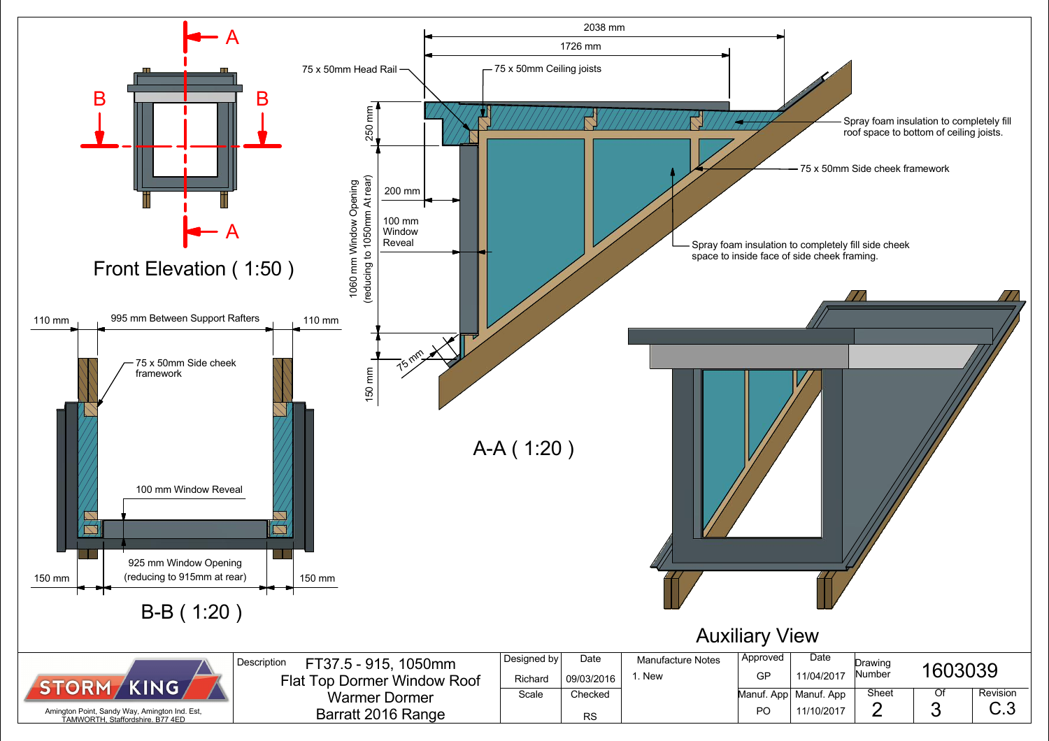